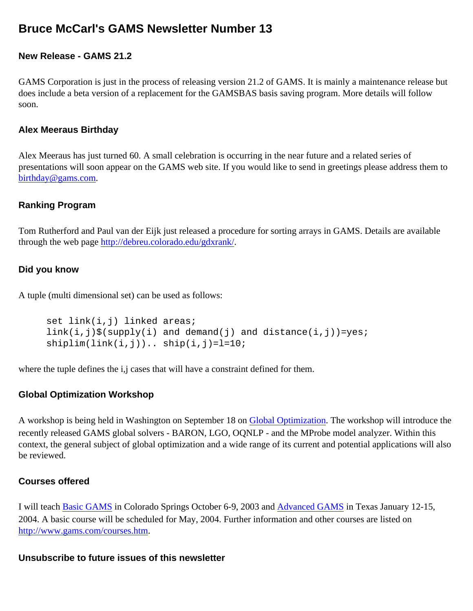# **Bruce McCarl's GAMS Newsletter Number 13**

## **New Release - GAMS 21.2**

GAMS Corporation is just in the process of releasing version 21.2 of GAMS. It is mainly a maintenance release but does include a beta version of a replacement for the GAMSBAS basis saving program. More details will follow soon.

### **Alex Meeraus Birthday**

Alex Meeraus has just turned 60. A small celebration is occurring in the near future and a related series of presentations will soon appear on the GAMS web site. If you would like to send in greetings please address them to [birthday@gams.com](mailto:birthday@gams.com).

### **Ranking Program**

Tom Rutherford and Paul van der Eijk just released a procedure for sorting arrays in GAMS. Details are available through the web page <http://debreu.colorado.edu/gdxrank/>.

## **Did you know**

A tuple (multi dimensional set) can be used as follows:

```
set link(i,j) linked areas;
link(i,j)$(supply(i) and demand(j) and distance(i,j))=yes;
shiplim(link(i,j)).. ship(i,j)=l=10;
```
where the tuple defines the i,j cases that will have a constraint defined for them.

## **Global Optimization Workshop**

A workshop is being held in Washington on September 18 on [Global Optimization.](http://www.gams.com/courses/goworkshop.htm) The workshop will introduce the recently released GAMS global solvers - BARON, LGO, OQNLP - and the MProbe model analyzer. Within this context, the general subject of global optimization and a wide range of its current and potential applications will also be reviewed.

### **Courses offered**

I will teach [Basic GAMS](http://www.gams.com/mccarl/basic.htm) in Colorado Springs October 6-9, 2003 and [Advanced GAMS](http://www.gams.com/mccarl/advanced.htm) in Texas January 12-15, 2004. A basic course will be scheduled for May, 2004. Further information and other courses are listed on [http://www.gams.com/courses.htm.](http://www.gams.com/courses.htm)

#### **Unsubscribe to future issues of this newsletter**